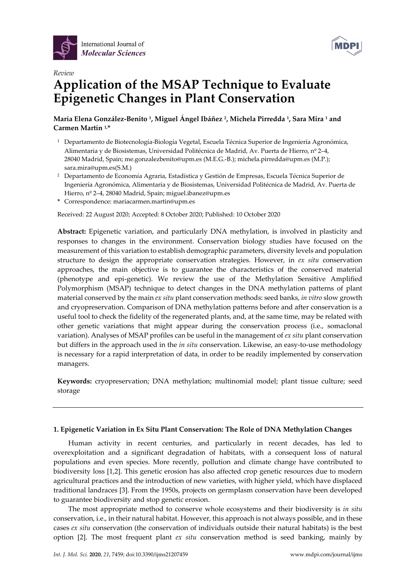



# *Review*  **Application of the MSAP Technique to Evaluate Epigenetic Changes in Plant Conservation**

# **María Elena González-Benito 1, Miguel Ángel Ibáñez 2, Michela Pirredda 1, Sara Mira 1 and Carmen Martín 1,\***

- 1 Departamento de Biotecnología-Biología Vegetal, Escuela Técnica Superior de Ingeniería Agronómica, Alimentaria y de Biosistemas, Universidad Politécnica de Madrid, Av. Puerta de Hierro, nº 2–4, 28040 Madrid, Spain; me.gonzalezbenito@upm.es (M.E.G.-B.); michela.pirredda@upm.es (M.P.); sara.mira@upm.es(S.M.)
- 2 Departamento de Economía Agraria, Estadística y Gestión de Empresas, Escuela Técnica Superior de Ingeniería Agronómica, Alimentaria y de Biosistemas, Universidad Politécnica de Madrid, Av. Puerta de Hierro, nº 2–4, 28040 Madrid, Spain; miguel.ibanez@upm.es
- **\*** Correspondence: mariacarmen.martin@upm.es

Received: 22 August 2020; Accepted: 8 October 2020; Published: 10 October 2020

**Abstract:** Epigenetic variation, and particularly DNA methylation, is involved in plasticity and responses to changes in the environment. Conservation biology studies have focused on the measurement of this variation to establish demographic parameters, diversity levels and population structure to design the appropriate conservation strategies. However, in *ex situ* conservation approaches, the main objective is to guarantee the characteristics of the conserved material (phenotype and epi-genetic). We review the use of the Methylation Sensitive Amplified Polymorphism (MSAP) technique to detect changes in the DNA methylation patterns of plant material conserved by the main *ex situ* plant conservation methods: seed banks, *in vitro* slow growth and cryopreservation. Comparison of DNA methylation patterns before and after conservation is a useful tool to check the fidelity of the regenerated plants, and, at the same time, may be related with other genetic variations that might appear during the conservation process (i.e., somaclonal variation). Analyses of MSAP profiles can be useful in the management of *ex situ* plant conservation but differs in the approach used in the *in situ* conservation. Likewise, an easy-to-use methodology is necessary for a rapid interpretation of data, in order to be readily implemented by conservation managers.

**Keywords:** cryopreservation; DNA methylation; multinomial model; plant tissue culture; seed storage

## **1. Epigenetic Variation in Ex Situ Plant Conservation: The Role of DNA Methylation Changes**

Human activity in recent centuries, and particularly in recent decades, has led to overexploitation and a significant degradation of habitats, with a consequent loss of natural populations and even species. More recently, pollution and climate change have contributed to biodiversity loss [1,2]. This genetic erosion has also affected crop genetic resources due to modern agricultural practices and the introduction of new varieties, with higher yield, which have displaced traditional landraces [3]. From the 1950s, projects on germplasm conservation have been developed to guarantee biodiversity and stop genetic erosion.

The most appropriate method to conserve whole ecosystems and their biodiversity is *in situ* conservation, i.e., in their natural habitat. However, this approach is not always possible, and in these cases *ex situ* conservation (the conservation of individuals outside their natural habitats) is the best option [2]. The most frequent plant *ex situ* conservation method is seed banking, mainly by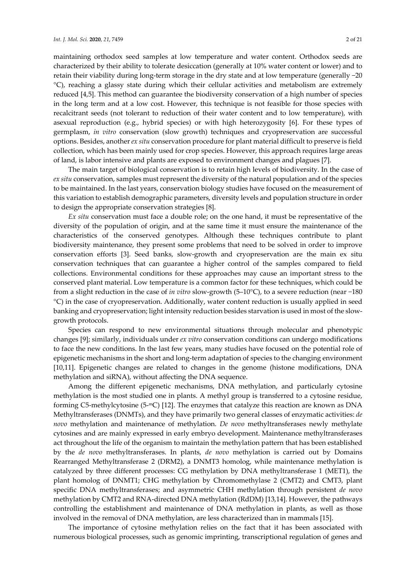maintaining orthodox seed samples at low temperature and water content. Orthodox seeds are characterized by their ability to tolerate desiccation (generally at 10% water content or lower) and to retain their viability during long-term storage in the dry state and at low temperature (generally −20 °C), reaching a glassy state during which their cellular activities and metabolism are extremely reduced [4,5]. This method can guarantee the biodiversity conservation of a high number of species in the long term and at a low cost. However, this technique is not feasible for those species with recalcitrant seeds (not tolerant to reduction of their water content and to low temperature), with asexual reproduction (e.g., hybrid species) or with high heterozygosity [6]. For these types of germplasm, *in vitro* conservation (slow growth) techniques and cryopreservation are successful options. Besides, another *ex situ* conservation procedure for plant material difficult to preserve is field collection, which has been mainly used for crop species. However, this approach requires large areas of land, is labor intensive and plants are exposed to environment changes and plagues [7].

The main target of biological conservation is to retain high levels of biodiversity. In the case of *ex situ* conservation, samples must represent the diversity of the natural population and of the species to be maintained. In the last years, conservation biology studies have focused on the measurement of this variation to establish demographic parameters, diversity levels and population structure in order to design the appropriate conservation strategies [8].

*Ex situ* conservation must face a double role; on the one hand, it must be representative of the diversity of the population of origin, and at the same time it must ensure the maintenance of the characteristics of the conserved genotypes. Although these techniques contribute to plant biodiversity maintenance, they present some problems that need to be solved in order to improve conservation efforts [3]. Seed banks, slow-growth and cryopreservation are the main ex situ conservation techniques that can guarantee a higher control of the samples compared to field collections. Environmental conditions for these approaches may cause an important stress to the conserved plant material. Low temperature is a common factor for these techniques, which could be from a slight reduction in the case of *in vitro* slow-growth (5–10°C), to a severe reduction (near −180 °C) in the case of cryopreservation. Additionally, water content reduction is usually applied in seed banking and cryopreservation; light intensity reduction besides starvation is used in most of the slowgrowth protocols.

Species can respond to new environmental situations through molecular and phenotypic changes [9]; similarly, individuals under *ex vitro* conservation conditions can undergo modifications to face the new conditions. In the last few years, many studies have focused on the potential role of epigenetic mechanisms in the short and long-term adaptation of species to the changing environment [10,11]. Epigenetic changes are related to changes in the genome (histone modifications, DNA methylation and siRNA), without affecting the DNA sequence.

Among the different epigenetic mechanisms, DNA methylation, and particularly cytosine methylation is the most studied one in plants. A methyl group is transferred to a cytosine residue, forming C5-methylcytosine (5-mC) [12]. The enzymes that catalyze this reaction are known as DNA Methyltransferases (DNMTs), and they have primarily two general classes of enzymatic activities: *de novo* methylation and maintenance of methylation. *De novo* methyltransferases newly methylate cytosines and are mainly expressed in early embryo development. Maintenance methyltransferases act throughout the life of the organism to maintain the methylation pattern that has been established by the *de novo* methyltransferases. In plants, *de novo* methylation is carried out by Domains Rearranged Methyltransferase 2 (DRM2), a DNMT3 homolog, while maintenance methylation is catalyzed by three different processes: CG methylation by DNA methyltransferase 1 (MET1), the plant homolog of DNMT1; CHG methylation by Chromomethylase 2 (CMT2) and CMT3, plant specific DNA methyltransferases; and asymmetric CHH methylation through persistent *de novo* methylation by CMT2 and RNA-directed DNA methylation (RdDM) [13,14]. However, the pathways controlling the establishment and maintenance of DNA methylation in plants, as well as those involved in the removal of DNA methylation, are less characterized than in mammals [15].

The importance of cytosine methylation relies on the fact that it has been associated with numerous biological processes, such as genomic imprinting, transcriptional regulation of genes and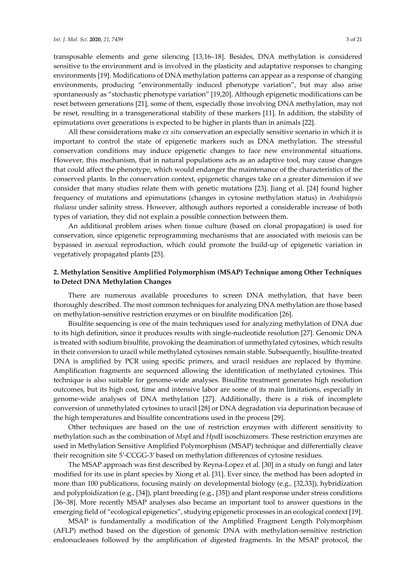transposable elements and gene silencing [13,16–18]. Besides, DNA methylation is considered sensitive to the environment and is involved in the plasticity and adaptative responses to changing environments [19]. Modifications of DNA methylation patterns can appear as a response of changing environments, producing "environmentally induced phenotype variation", but may also arise spontaneously as "stochastic phenotype variation" [19,20]. Although epigenetic modifications can be reset between generations [21], some of them, especially those involving DNA methylation, may not be reset, resulting in a transgenerational stability of these markers [11]. In addition, the stability of epimutations over generations is expected to be higher in plants than in animals [22].

All these considerations make *ex situ* conservation an especially sensitive scenario in which it is important to control the state of epigenetic markers such as DNA methylation. The stressful conservation conditions may induce epigenetic changes to face new environmental situations. However, this mechanism, that in natural populations acts as an adaptive tool, may cause changes that could affect the phenotype, which would endanger the maintenance of the characteristics of the conserved plants. In the conservation context, epigenetic changes take on a greater dimension if we consider that many studies relate them with genetic mutations [23]. Jiang et al. [24] found higher frequency of mutations and epimutations (changes in cytosine methylation status) in *Arabidopsis thaliana* under salinity stress. However, although authors reported a considerable increase of both types of variation, they did not explain a possible connection between them.

An additional problem arises when tissue culture (based on clonal propagation) is used for conservation, since epigenetic reprogramming mechanisms that are associated with meiosis can be bypassed in asexual reproduction, which could promote the build-up of epigenetic variation in vegetatively propagated plants [25].

## **2. Methylation Sensitive Amplified Polymorphism (MSAP) Technique among Other Techniques to Detect DNA Methylation Changes**

There are numerous available procedures to screen DNA methylation, that have been thoroughly described. The most common techniques for analyzing DNA methylation are those based on methylation-sensitive restriction enzymes or on bisulfite modification [26].

Bisulfite sequencing is one of the main techniques used for analyzing methylation of DNA due to its high definition, since it produces results with single-nucleotide resolution [27]. Genomic DNA is treated with sodium bisulfite, provoking the deamination of unmethylated cytosines, which results in their conversion to uracil while methylated cytosines remain stable. Subsequently, bisulfite-treated DNA is amplified by PCR using specific primers, and uracil residues are replaced by thymine. Amplification fragments are sequenced allowing the identification of methylated cytosines. This technique is also suitable for genome-wide analyses. Bisulfite treatment generates high resolution outcomes, but its high cost, time and intensive labor are some of its main limitations, especially in genome-wide analyses of DNA methylation [27]. Additionally, there is a risk of incomplete conversion of unmethylated cytosines to uracil [28] or DNA degradation via depurination because of the high temperatures and bisulfite concentrations used in the process [29].

Other techniques are based on the use of restriction enzymes with different sensitivity to methylation such as the combination of *Msp*I and *Hpa*II isoschizomers. These restriction enzymes are used in Methylation Sensitive Amplified Polymorphism (MSAP) technique and differentially cleave their recognition site 5′-CCGG-3′ based on methylation differences of cytosine residues.

The MSAP approach was first described by Reyna-Lopez et al. [30] in a study on fungi and later modified for its use in plant species by Xiong et al. [31]. Ever since, the method has been adopted in more than 100 publications, focusing mainly on developmental biology (e.g., [32,33]), hybridization and polyploidization (e.g., [34]), plant breeding (e.g., [35]) and plant response under stress conditions [36–38]. More recently MSAP analyses also became an important tool to answer questions in the emerging field of "ecological epigenetics", studying epigenetic processes in an ecological context [19].

MSAP is fundamentally a modification of the Amplified Fragment Length Polymorphism (AFLP) method based on the digestion of genomic DNA with methylation-sensitive restriction endonucleases followed by the amplification of digested fragments. In the MSAP protocol, the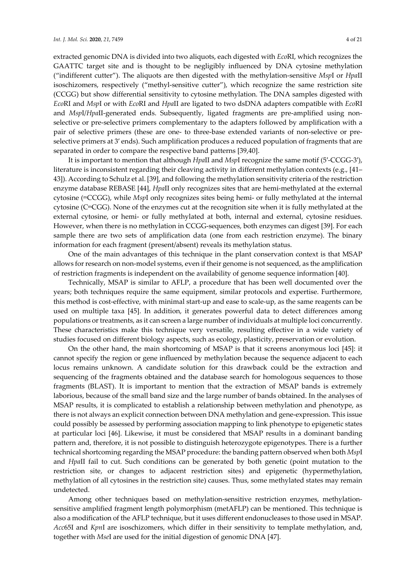extracted genomic DNA is divided into two aliquots, each digested with *Eco*RI, which recognizes the GAATTC target site and is thought to be negligibly influenced by DNA cytosine methylation ("indifferent cutter"). The aliquots are then digested with the methylation-sensitive *Msp*I or *Hpa*II isoschizomers, respectively ("methyl-sensitive cutter"), which recognize the same restriction site (CCGG) but show differential sensitivity to cytosine methylation. The DNA samples digested with *Eco*RI and *Msp*I or with *Eco*RI and *Hpa*II are ligated to two dsDNA adapters compatible with *Eco*RI and *Msp*I/*Hpa*II-generated ends. Subsequently, ligated fragments are pre-amplified using nonselective or pre-selective primers complementary to the adapters followed by amplification with a pair of selective primers (these are one- to three-base extended variants of non-selective or preselective primers at 3′ ends). Such amplification produces a reduced population of fragments that are separated in order to compare the respective band patterns [39,40].

It is important to mention that although *Hpa*II and *Msp*I recognize the same motif (5′-CCGG-3′), literature is inconsistent regarding their cleaving activity in different methylation contexts (e.g., [41– 43]). According to Schulz et al. [39], and following the methylation sensitivity criteria of the restriction enzyme database REBASE [44], *Hpa*II only recognizes sites that are hemi-methylated at the external cytosine (mCCGG), while *Msp*I only recognizes sites being hemi- or fully methylated at the internal cytosine (CmCGG). None of the enzymes cut at the recognition site when it is fully methylated at the external cytosine, or hemi- or fully methylated at both, internal and external, cytosine residues. However, when there is no methylation in CCGG-sequences, both enzymes can digest [39]. For each sample there are two sets of amplification data (one from each restriction enzyme). The binary information for each fragment (present/absent) reveals its methylation status.

One of the main advantages of this technique in the plant conservation context is that MSAP allows for research on non-model systems, even if their genome is not sequenced, as the amplification of restriction fragments is independent on the availability of genome sequence information [40].

Technically, MSAP is similar to AFLP, a procedure that has been well documented over the years; both techniques require the same equipment, similar protocols and expertise. Furthermore, this method is cost-effective, with minimal start-up and ease to scale-up, as the same reagents can be used on multiple taxa [45]. In addition, it generates powerful data to detect differences among populations or treatments, as it can screen a large number of individuals at multiple loci concurrently. These characteristics make this technique very versatile, resulting effective in a wide variety of studies focused on different biology aspects, such as ecology, plasticity, preservation or evolution.

On the other hand, the main shortcoming of MSAP is that it screens anonymous loci [45]: it cannot specify the region or gene influenced by methylation because the sequence adjacent to each locus remains unknown. A candidate solution for this drawback could be the extraction and sequencing of the fragments obtained and the database search for homologous sequences to those fragments (BLAST). It is important to mention that the extraction of MSAP bands is extremely laborious, because of the small band size and the large number of bands obtained. In the analyses of MSAP results, it is complicated to establish a relationship between methylation and phenotype, as there is not always an explicit connection between DNA methylation and gene-expression. This issue could possibly be assessed by performing association mapping to link phenotype to epigenetic states at particular loci [46]. Likewise, it must be considered that MSAP results in a dominant banding pattern and, therefore, it is not possible to distinguish heterozygote epigenotypes. There is a further technical shortcoming regarding the MSAP procedure: the banding pattern observed when both *Msp*I and *Hpa*II fail to cut. Such conditions can be generated by both genetic (point mutation to the restriction site, or changes to adjacent restriction sites) and epigenetic (hypermethylation, methylation of all cytosines in the restriction site) causes. Thus, some methylated states may remain undetected.

Among other techniques based on methylation-sensitive restriction enzymes, methylationsensitive amplified fragment length polymorphism (metAFLP) can be mentioned. This technique is also a modification of the AFLP technique, but it uses different endonucleases to those used in MSAP. *Acc*65I and *Kpn*I are isoschizomers, which differ in their sensitivity to template methylation, and, together with *Mse*I are used for the initial digestion of genomic DNA [47].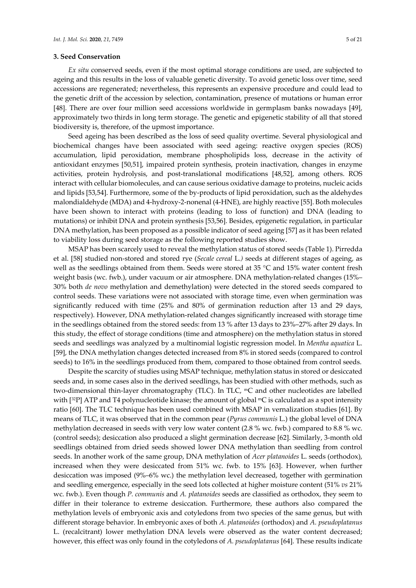#### **3. Seed Conservation**

*Ex situ* conserved seeds, even if the most optimal storage conditions are used, are subjected to ageing and this results in the loss of valuable genetic diversity. To avoid genetic loss over time, seed accessions are regenerated; nevertheless, this represents an expensive procedure and could lead to the genetic drift of the accession by selection, contamination, presence of mutations or human error [48]. There are over four million seed accessions worldwide in germplasm banks nowadays [49], approximately two thirds in long term storage. The genetic and epigenetic stability of all that stored biodiversity is, therefore, of the upmost importance.

Seed ageing has been described as the loss of seed quality overtime. Several physiological and biochemical changes have been associated with seed ageing: reactive oxygen species (ROS) accumulation, lipid peroxidation, membrane phospholipids loss, decrease in the activity of antioxidant enzymes [50,51], impaired protein synthesis, protein inactivation, changes in enzyme activities, protein hydrolysis, and post-translational modifications [48,52], among others. ROS interact with cellular biomolecules, and can cause serious oxidative damage to proteins, nucleic acids and lipids [53,54]. Furthermore, some of the by-products of lipid peroxidation, such as the aldehydes malondialdehyde (MDA) and 4-hydroxy-2-nonenal (4-HNE), are highly reactive [55]. Both molecules have been shown to interact with proteins (leading to loss of function) and DNA (leading to mutations) or inhibit DNA and protein synthesis [53,56]. Besides, epigenetic regulation, in particular DNA methylation, has been proposed as a possible indicator of seed ageing [57] as it has been related to viability loss during seed storage as the following reported studies show.

MSAP has been scarcely used to reveal the methylation status of stored seeds (Table 1). Pirredda et al. [58] studied non-stored and stored rye (*Secale cereal* L.*)* seeds at different stages of ageing, as well as the seedlings obtained from them. Seeds were stored at 35 °C and 15% water content fresh weight basis (wc. fwb.), under vacuum or air atmosphere. DNA methylation-related changes (15%– 30% both *de novo* methylation and demethylation) were detected in the stored seeds compared to control seeds. These variations were not associated with storage time, even when germination was significantly reduced with time (25% and 80% of germination reduction after 13 and 29 days, respectively). However, DNA methylation-related changes significantly increased with storage time in the seedlings obtained from the stored seeds: from 13 % after 13 days to 23%–27% after 29 days. In this study, the effect of storage conditions (time and atmosphere) on the methylation status in stored seeds and seedlings was analyzed by a multinomial logistic regression model. In *Mentha aquatica* L. [59], the DNA methylation changes detected increased from 8% in stored seeds (compared to control seeds) to 16% in the seedlings produced from them, compared to those obtained from control seeds.

Despite the scarcity of studies using MSAP technique, methylation status in stored or desiccated seeds and, in some cases also in the derived seedlings, has been studied with other methods, such as two-dimensional thin-layer chromatography (TLC). In TLC, mC and other nucleotides are labelled with [32P] ATP and T4 polynucleotide kinase; the amount of global  ${}^mC$  is calculated as a spot intensity ratio [60]. The TLC technique has been used combined with MSAP in vernalization studies [61]. By means of TLC, it was observed that in the common pear (*Pyrus communis* L.) the global level of DNA methylation decreased in seeds with very low water content (2.8 % wc. fwb.) compared to 8.8 % wc. (control seeds); desiccation also produced a slight germination decrease [62]. Similarly, 3-month old seedlings obtained from dried seeds showed lower DNA methylation than seedling from control seeds. In another work of the same group, DNA methylation of *Acer platanoides* L. seeds (orthodox), increased when they were desiccated from 51% wc. fwb. to 15% [63]. However, when further desiccation was imposed (9%–6% wc.) the methylation level decreased, together with germination and seedling emergence, especially in the seed lots collected at higher moisture content (51% *vs* 21% wc. fwb.). Even though *P. communis* and *A. platanoides* seeds are classified as orthodox, they seem to differ in their tolerance to extreme desiccation. Furthermore, these authors also compared the methylation levels of embryonic axis and cotyledons from two species of the same genus, but with different storage behavior. In embryonic axes of both *A. platanoides* (orthodox) and *A. pseudoplatanus* L. (recalcitrant) lower methylation DNA levels were observed as the water content decreased; however, this effect was only found in the cotyledons of *A. pseudoplatanus* [64]. These results indicate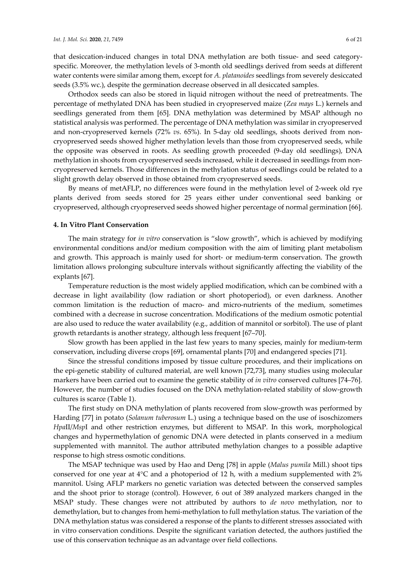that desiccation-induced changes in total DNA methylation are both tissue- and seed categoryspecific. Moreover, the methylation levels of 3-month old seedlings derived from seeds at different water contents were similar among them, except for *A. platanoides* seedlings from severely desiccated seeds (3.5% wc.), despite the germination decrease observed in all desiccated samples.

Orthodox seeds can also be stored in liquid nitrogen without the need of pretreatments. The percentage of methylated DNA has been studied in cryopreserved maize (*Zea mays* L.) kernels and seedlings generated from them [65]. DNA methylation was determined by MSAP although no statistical analysis was performed. The percentage of DNA methylation was similar in cryopreserved and non-cryopreserved kernels (72% *vs*. 65%). In 5-day old seedlings, shoots derived from noncryopreserved seeds showed higher methylation levels than those from cryopreserved seeds, while the opposite was observed in roots. As seedling growth proceeded (9-day old seedlings), DNA methylation in shoots from cryopreserved seeds increased, while it decreased in seedlings from noncryopreserved kernels. Those differences in the methylation status of seedlings could be related to a slight growth delay observed in those obtained from cryopreserved seeds.

By means of metAFLP, no differences were found in the methylation level of 2-week old rye plants derived from seeds stored for 25 years either under conventional seed banking or cryopreserved, although cryopreserved seeds showed higher percentage of normal germination [66].

#### **4. In Vitro Plant Conservation**

The main strategy for *in vitro* conservation is "slow growth", which is achieved by modifying environmental conditions and/or medium composition with the aim of limiting plant metabolism and growth. This approach is mainly used for short- or medium-term conservation. The growth limitation allows prolonging subculture intervals without significantly affecting the viability of the explants [67].

Temperature reduction is the most widely applied modification, which can be combined with a decrease in light availability (low radiation or short photoperiod), or even darkness. Another common limitation is the reduction of macro- and micro-nutrients of the medium, sometimes combined with a decrease in sucrose concentration. Modifications of the medium osmotic potential are also used to reduce the water availability (e.g., addition of mannitol or sorbitol). The use of plant growth retardants is another strategy, although less frequent [67–70].

Slow growth has been applied in the last few years to many species, mainly for medium-term conservation, including diverse crops [69], ornamental plants [70] and endangered species [71].

Since the stressful conditions imposed by tissue culture procedures, and their implications on the epi-genetic stability of cultured material, are well known [72,73], many studies using molecular markers have been carried out to examine the genetic stability of *in vitro* conserved cultures [74–76]. However, the number of studies focused on the DNA methylation-related stability of slow-growth cultures is scarce (Table 1).

The first study on DNA methylation of plants recovered from slow-growth was performed by Harding [77] in potato (*Solanum tuberosum* L.) using a technique based on the use of isoschizomers *Hpa*II/*Msp*I and other restriction enzymes, but different to MSAP. In this work, morphological changes and hypermethylation of genomic DNA were detected in plants conserved in a medium supplemented with mannitol. The author attributed methylation changes to a possible adaptive response to high stress osmotic conditions.

The MSAP technique was used by Hao and Deng [78] in apple (*Malus pumila* Mill.) shoot tips conserved for one year at 4°C and a photoperiod of 12 h, with a medium supplemented with 2% mannitol. Using AFLP markers no genetic variation was detected between the conserved samples and the shoot prior to storage (control). However, 6 out of 389 analyzed markers changed in the MSAP study. These changes were not attributed by authors to *de novo* methylation, nor to demethylation, but to changes from hemi-methylation to full methylation status. The variation of the DNA methylation status was considered a response of the plants to different stresses associated with in vitro conservation conditions. Despite the significant variation detected, the authors justified the use of this conservation technique as an advantage over field collections.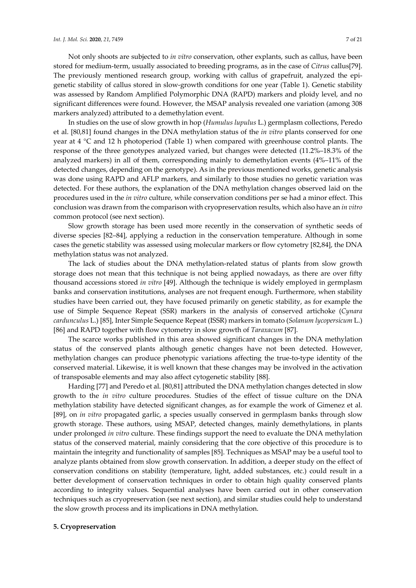Not only shoots are subjected to *in vitro* conservation, other explants, such as callus, have been stored for medium-term, usually associated to breeding programs, as in the case of *Citrus* callus[79]. The previously mentioned research group, working with callus of grapefruit, analyzed the epigenetic stability of callus stored in slow-growth conditions for one year (Table 1). Genetic stability was assessed by Random Amplified Polymorphic DNA (RAPD) markers and ploidy level, and no significant differences were found. However, the MSAP analysis revealed one variation (among 308 markers analyzed) attributed to a demethylation event.

In studies on the use of slow growth in hop (*Humulus lupulus* L.) germplasm collections, Peredo et al. [80,81] found changes in the DNA methylation status of the *in vitro* plants conserved for one year at 4 °C and 12 h photoperiod (Table 1) when compared with greenhouse control plants. The response of the three genotypes analyzed varied, but changes were detected (11.2%–18.3% of the analyzed markers) in all of them, corresponding mainly to demethylation events (4%–11% of the detected changes, depending on the genotype). As in the previous mentioned works, genetic analysis was done using RAPD and AFLP markers, and similarly to those studies no genetic variation was detected. For these authors, the explanation of the DNA methylation changes observed laid on the procedures used in the *in vitro* culture, while conservation conditions per se had a minor effect. This conclusion was drawn from the comparison with cryopreservation results, which also have an *in vitro* common protocol (see next section).

Slow growth storage has been used more recently in the conservation of synthetic seeds of diverse species [82–84], applying a reduction in the conservation temperature. Although in some cases the genetic stability was assessed using molecular markers or flow cytometry [82,84], the DNA methylation status was not analyzed.

The lack of studies about the DNA methylation-related status of plants from slow growth storage does not mean that this technique is not being applied nowadays, as there are over fifty thousand accessions stored *in vitro* [49]. Although the technique is widely employed in germplasm banks and conservation institutions, analyses are not frequent enough. Furthermore, when stability studies have been carried out, they have focused primarily on genetic stability, as for example the use of Simple Sequence Repeat (SSR) markers in the analysis of conserved artichoke (*Cynara cardunculus* L.) [85], Inter Simple Sequence Repeat (ISSR) markers in tomato (*Solanum lycopersicum* L.) [86] and RAPD together with flow cytometry in slow growth of *Taraxacum* [87].

The scarce works published in this area showed significant changes in the DNA methylation status of the conserved plants although genetic changes have not been detected. However, methylation changes can produce phenotypic variations affecting the true-to-type identity of the conserved material. Likewise, it is well known that these changes may be involved in the activation of transposable elements and may also affect cytogenetic stability [88].

Harding [77] and Peredo et al. [80,81] attributed the DNA methylation changes detected in slow growth to the *in vitro* culture procedures. Studies of the effect of tissue culture on the DNA methylation stability have detected significant changes, as for example the work of Gimenez et al. [89], on *in vitro* propagated garlic, a species usually conserved in germplasm banks through slow growth storage. These authors, using MSAP, detected changes, mainly demethylations, in plants under prolonged *in vitro* culture. These findings support the need to evaluate the DNA methylation status of the conserved material, mainly considering that the core objective of this procedure is to maintain the integrity and functionality of samples [85]. Techniques as MSAP may be a useful tool to analyze plants obtained from slow growth conservation. In addition, a deeper study on the effect of conservation conditions on stability (temperature, light, added substances, etc.) could result in a better development of conservation techniques in order to obtain high quality conserved plants according to integrity values. Sequential analyses have been carried out in other conservation techniques such as cryopreservation (see next section), and similar studies could help to understand the slow growth process and its implications in DNA methylation.

#### **5. Cryopreservation**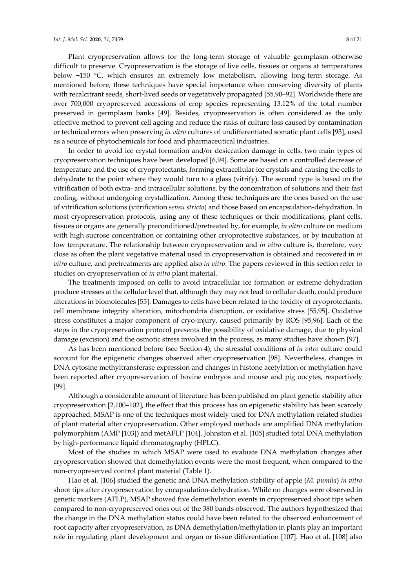Plant cryopreservation allows for the long-term storage of valuable germplasm otherwise difficult to preserve. Cryopreservation is the storage of live cells, tissues or organs at temperatures below −150 °C, which ensures an extremely low metabolism, allowing long-term storage. As mentioned before, these techniques have special importance when conserving diversity of plants with recalcitrant seeds, short-lived seeds or vegetatively propagated [55,90–92]. Worldwide there are over 700,000 cryopreserved accessions of crop species representing 13.12% of the total number preserved in germplasm banks [49]. Besides, cryopreservation is often considered as the only effective method to prevent cell ageing and reduce the risks of culture loss caused by contamination or technical errors when preserving *in vitro* cultures of undifferentiated somatic plant cells [93], used as a source of phytochemicals for food and pharmaceutical industries.

In order to avoid ice crystal formation and/or desiccation damage in cells, two main types of cryopreservation techniques have been developed [6,94]. Some are based on a controlled decrease of temperature and the use of cryoprotectants, forming extracellular ice crystals and causing the cells to dehydrate to the point where they would turn to a glass (vitrify). The second type is based on the vitrification of both extra- and intracellular solutions, by the concentration of solutions and their fast cooling, without undergoing crystallization. Among these techniques are the ones based on the use of vitrification solutions (vitrification *sensu stricto*) and those based on encapsulation-dehydration. In most cryopreservation protocols, using any of these techniques or their modifications, plant cells, tissues or organs are generally preconditioned/pretreated by, for example, *in vitro* culture on medium with high sucrose concentration or containing other cryoprotective substances, or by incubation at low temperature. The relationship between cryopreservation and *in vitro* culture is, therefore, very close as often the plant vegetative material used in cryopreservation is obtained and recovered in *in vitro* culture, and pretreatments are applied also *in vitro*. The papers reviewed in this section refer to studies on cryopreservation of *in vitro* plant material.

The treatments imposed on cells to avoid intracellular ice formation or extreme dehydration produce stresses at the cellular level that, although they may not lead to cellular death, could produce alterations in biomolecules [55]. Damages to cells have been related to the toxicity of cryoprotectants, cell membrane integrity alteration, mitochondria disruption, or oxidative stress [55,95]. Oxidative stress constitutes a major component of cryo-injury, caused primarily by ROS [95,96]. Each of the steps in the cryopreservation protocol presents the possibility of oxidative damage, due to physical damage (excision) and the osmotic stress involved in the process, as many studies have shown [97].

As has been mentioned before (see Section 4), the stressful conditions of *in vitro* culture could account for the epigenetic changes observed after cryopreservation [98]. Nevertheless, changes in DNA cytosine methyltransferase expression and changes in histone acetylation or methylation have been reported after cryopreservation of bovine embryos and mouse and pig oocytes, respectively [99].

Although a considerable amount of literature has been published on plant genetic stability after cryopreservation [2,100–102], the effect that this process has on epigenetic stability has been scarcely approached. MSAP is one of the techniques most widely used for DNA methylation-related studies of plant material after cryopreservation. Other employed methods are amplified DNA methylation polymorphism (AMP [103]) and metAFLP [104]. Johnston et al. [105] studied total DNA methylation by high-performance liquid chromatography (HPLC).

Most of the studies in which MSAP were used to evaluate DNA methylation changes after cryopreservation showed that demethylation events were the most frequent, when compared to the non-cryopreserved control plant material (Table 1).

Hao et al. [106] studied the genetic and DNA methylation stability of apple (*M. pumila*) *in vitro* shoot tips after cryopreservation by encapsulation-dehydration. While no changes were observed in genetic markers (AFLP), MSAP showed five demethylation events in cryopreserved shoot tips when compared to non-cryopreserved ones out of the 380 bands observed. The authors hypothesized that the change in the DNA methylation status could have been related to the observed enhancement of root capacity after cryopreservation, as DNA demethylation/methylation in plants play an important role in regulating plant development and organ or tissue differentiation [107]. Hao et al. [108] also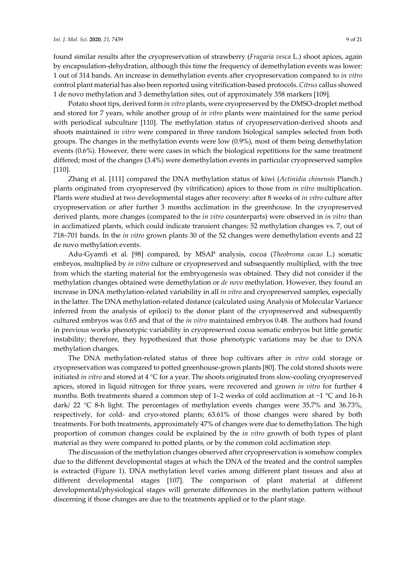found similar results after the cryopreservation of strawberry (*Fragaria vesca* L.) shoot apices, again by encapsulation-dehydration, although this time the frequency of demethylation events was lower: 1 out of 314 bands. An increase in demethylation events after cryopreservation compared to *in vitro* control plant material has also been reported using vitrification-based protocols. *Citrus* callus showed 1 de novo methylation and 3 demethylation sites, out of approximately 358 markers [109].

Potato shoot tips, derived form *in vitro* plants, were cryopreserved by the DMSO-droplet method and stored for 7 years, while another group of *in vitro* plants were maintained for the same period with periodical subculture [110]. The methylation status of cryopreservation-derived shoots and shoots maintained *in vitro* were compared in three random biological samples selected from both groups. The changes in the methylation events were low (0.9%), most of them being demethylation events (0.6%). However, there were cases in which the biological repetitions for the same treatment differed; most of the changes (3.4%) were demethylation events in particular cryopreserved samples [110].

Zhang et al. [111] compared the DNA methylation status of kiwi (*Actinidia chinensis* Planch.) plants originated from cryopreserved (by vitrification) apices to those from *in vitro* multiplication. Plants were studied at two developmental stages after recovery: after 8 weeks of *in vitro* culture after cryopreservation or after further 3 months acclimation in the greenhouse. In the cryopreserved derived plants, more changes (compared to the *in vitro* counterparts) were observed in *in vitro* than in acclimatized plants, which could indicate transient changes: 52 methylation changes vs. 7, out of 718–701 bands. In the *in vitro* grown plants 30 of the 52 changes were demethylation events and 22 de novo methylation events.

Adu-Gyamfi et al. [98] compared, by MSAP analysis, cocoa (*Theobroma cacao* L.) somatic embryos, multiplied by *in vitro* culture or cryopreserved and subsequently multiplied, with the tree from which the starting material for the embryogenesis was obtained. They did not consider if the methylation changes obtained were demethylation or *de novo* methylation. However, they found an increase in DNA methylation-related variability in all *in vitro* and cryopreserved samples, especially in the latter. The DNA methylation-related distance (calculated using Analysis of Molecular Variance inferred from the analysis of epiloci) to the donor plant of the cryopreserved and subsequently cultured embryos was 0.65 and that of the *in vitro* maintained embryos 0.48. The authors had found in previous works phenotypic variability in cryopreserved cocoa somatic embryos but little genetic instability; therefore, they hypothesized that those phenotypic variations may be due to DNA methylation changes.

The DNA methylation-related status of three hop cultivars after *in vitro* cold storage or cryopreservation was compared to potted greenhouse-grown plants [80]. The cold stored shoots were initiated *in vitro* and stored at 4 °C for a year. The shoots originated from slow-cooling cryopreserved apices, stored in liquid nitrogen for three years, were recovered and grown *in vitro* for further 4 months. Both treatments shared a common step of 1–2 weeks of cold acclimation at −1 °C and 16-h dark/ 22 °C 8-h light. The percentages of methylation events changes were 35.7% and 36.73%, respectively, for cold- and cryo-stored plants; 63.61% of those changes were shared by both treatments. For both treatments, approximately 47% of changes were due to demethylation. The high proportion of common changes could be explained by the *in vitro* growth of both types of plant material as they were compared to potted plants, or by the common cold acclimation step.

The discussion of the methylation changes observed after cryopreservation is somehow complex due to the different developmental stages at which the DNA of the treated and the control samples is extracted (Figure 1). DNA methylation level varies among different plant tissues and also at different developmental stages [107]. The comparison of plant material at different developmental/physiological stages will generate differences in the methylation pattern without discerning if those changes are due to the treatments applied or to the plant stage.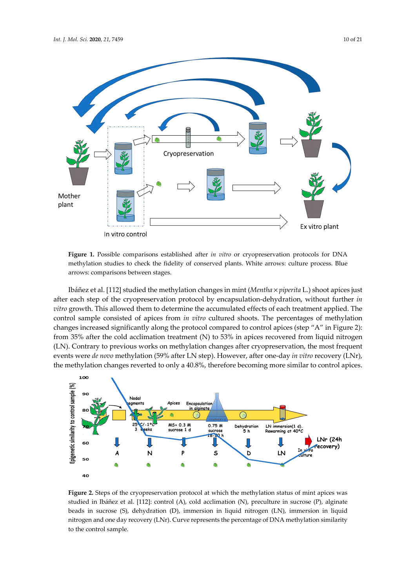

**Figure 1.** Possible comparisons established after *in vitro* or cryopreservation protocols for DNA methylation studies to check the fidelity of conserved plants. White arrows: culture process. Blue arrows: comparisons between stages.

Ibáñez et al. [112] studied the methylation changes in mint (*Mentha* × *piperita* L.) shoot apices just after each step of the cryopreservation protocol by encapsulation-dehydration, without further *in vitro* growth. This allowed them to determine the accumulated effects of each treatment applied. The control sample consisted of apices from *in vitro* cultured shoots. The percentages of methylation changes increased significantly along the protocol compared to control apices (step "A" in Figure 2): from 35% after the cold acclimation treatment (N) to 53% in apices recovered from liquid nitrogen (LN). Contrary to previous works on methylation changes after cryopreservation, the most frequent events were *de novo* methylation (59% after LN step). However, after one-day *in vitro* recovery (LNr), the methylation changes reverted to only a 40.8%, therefore becoming more similar to control apices.



**Figure 2.** Steps of the cryopreservation protocol at which the methylation status of mint apices was studied in Ibáñez et al. [112]: control (A), cold acclimation (N), preculture in sucrose (P), alginate beads in sucrose (S), dehydration (D), immersion in liquid nitrogen (LN), immersion in liquid nitrogen and one day recovery (LNr). Curve represents the percentage of DNA methylation similarity to the control sample.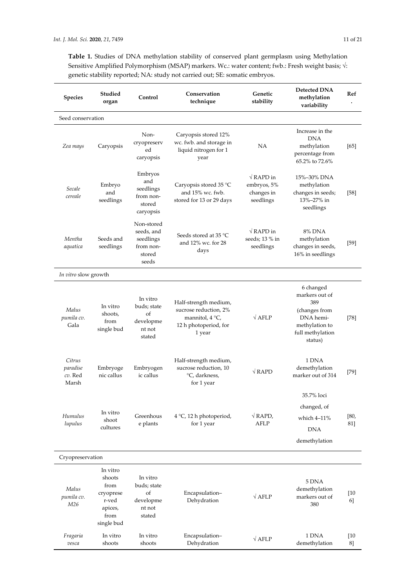**Table 1.** Studies of DNA methylation stability of conserved plant germplasm using Methylation Sensitive Amplified Polymorphism (MSAP) markers. Wc.: water content; fwb.: Fresh weight basis; √: genetic stability reported; NA: study not carried out; SE: somatic embryos.

| Species                                | Studied<br>organ                                                                  | Control                                                               | Conservation<br>technique                                                                                     | Genetic<br>stability                                       | <b>Detected DNA</b><br>methylation<br>variability                                                                 | Ref         |  |  |
|----------------------------------------|-----------------------------------------------------------------------------------|-----------------------------------------------------------------------|---------------------------------------------------------------------------------------------------------------|------------------------------------------------------------|-------------------------------------------------------------------------------------------------------------------|-------------|--|--|
| Seed conservation                      |                                                                                   |                                                                       |                                                                                                               |                                                            |                                                                                                                   |             |  |  |
| Zea mays                               | Caryopsis                                                                         | Non-<br>cryopreserv<br>ed<br>caryopsis                                | Caryopsis stored 12%<br>wc. fwb. and storage in<br>liquid nitrogen for 1<br>year                              | NA                                                         | Increase in the<br><b>DNA</b><br>methylation<br>percentage from<br>65.2% to 72.6%                                 | [65]        |  |  |
| Secale<br>cereale                      | Embryo<br>and<br>seedlings                                                        | Embryos<br>and<br>seedlings<br>from non-<br>stored<br>caryopsis       | Caryopsis stored 35 °C<br>and 15% wc. fwb.<br>stored for 13 or 29 days                                        | $\sqrt{$ RAPD in<br>embryos, 5%<br>changes in<br>seedlings | 15%-30% DNA<br>methylation<br>changes in seeds;<br>13%-27% in<br>seedlings                                        | $[58]$      |  |  |
| Mentha<br>aquatica                     | Seeds and<br>seedlings                                                            | Non-stored<br>seeds, and<br>seedlings<br>from non-<br>stored<br>seeds | Seeds stored at 35 °C<br>and 12% wc. for 28<br>days                                                           | $\sqrt{$ RAPD in<br>seeds; 13 % in<br>seedlings            | 8% DNA<br>methylation<br>changes in seeds,<br>16% in seedlings                                                    | $[59]$      |  |  |
| In vitro slow growth                   |                                                                                   |                                                                       |                                                                                                               |                                                            |                                                                                                                   |             |  |  |
| Malus<br>pumila cv.<br>Gala            | In vitro<br>shoots,<br>from<br>single bud                                         | In vitro<br>buds; state<br>of<br>developme<br>nt not<br>stated        | Half-strength medium,<br>sucrose reduction, 2%<br>mannitol, $4^{\circ}C$ ,<br>12 h photoperiod, for<br>1 year | $\sqrt{\text{AFLP}}$                                       | 6 changed<br>markers out of<br>389<br>(changes from<br>DNA hemi-<br>methylation to<br>full methylation<br>status) | $[78]$      |  |  |
| Citrus<br>paradise<br>cv. Red<br>Marsh | Embryoge<br>nic callus                                                            | Embryogen<br>ic callus                                                | Half-strength medium,<br>sucrose reduction, 10<br>°C, darkness,<br>for 1 year                                 | $\sqrt{$ RAPD                                              | 1 DNA<br>demethylation<br>marker out of 314                                                                       | $[79]$      |  |  |
| Humulus<br>lupulus                     | In vitro<br>shoot<br>cultures                                                     | Greenhous<br>e plants                                                 | 4 °C, 12 h photoperiod,<br>for 1 year                                                                         | $\sqrt{$ RAPD,<br>AFLP                                     | 35.7% loci<br>changed, of<br>which $4-11\%$<br><b>DNA</b><br>demethylation                                        | [80,<br>81] |  |  |
| Cryopreservation                       |                                                                                   |                                                                       |                                                                                                               |                                                            |                                                                                                                   |             |  |  |
| Malus<br>pumila cv.<br>M26             | In vitro<br>shoots<br>from<br>cryoprese<br>r-ved<br>apices,<br>from<br>single bud | In vitro<br>buds; state<br>of<br>developme<br>nt not<br>stated        | Encapsulation-<br>Dehydration                                                                                 | $\sqrt{\text{AFLP}}$                                       | 5 DNA<br>demethylation<br>markers out of<br>380                                                                   | [10]<br>6]  |  |  |
| Fragaria<br>vesca                      | In vitro<br>shoots                                                                | In vitro<br>shoots                                                    | Encapsulation-<br>Dehydration                                                                                 | $\sqrt{\text{AFLP}}$                                       | 1 DNA<br>demethylation                                                                                            | [10]<br>8]  |  |  |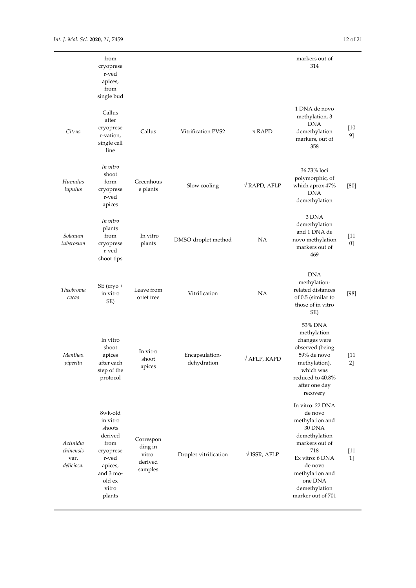|                                              | from<br>cryoprese<br>r-ved<br>apices,<br>from<br>single bud                                                                 |                                                      |                               |                             | markers out of<br>314                                                                                                                                                                                       |                          |
|----------------------------------------------|-----------------------------------------------------------------------------------------------------------------------------|------------------------------------------------------|-------------------------------|-----------------------------|-------------------------------------------------------------------------------------------------------------------------------------------------------------------------------------------------------------|--------------------------|
| Citrus                                       | Callus<br>after<br>cryoprese<br>r-vation,<br>single cell<br>line                                                            | Callus                                               | Vitrification PVS2            | $\sqrt{$ RAPD               | 1 DNA de novo<br>methylation, 3<br><b>DNA</b><br>demethylation<br>markers, out of<br>358                                                                                                                    | $[10$<br>9]              |
| Humulus<br>lupulus                           | In vitro<br>shoot<br>form<br>cryoprese<br>r-ved<br>apices                                                                   | Greenhous<br>e plants                                | Slow cooling                  | $\sqrt{$ RAPD, AFLP         | 36.73% loci<br>polymorphic, of<br>which aprox 47%<br><b>DNA</b><br>demethylation                                                                                                                            | [80]                     |
| Solanum<br>tuberosum                         | In vitro<br>plants<br>from<br>cryoprese<br>r-ved<br>shoot tips                                                              | In vitro<br>plants                                   | DMSO-droplet method           | <b>NA</b>                   | 3 DNA<br>demethylation<br>and 1 DNA de<br>novo methylation<br>markers out of<br>469                                                                                                                         | $[11]$<br>0 <sup>1</sup> |
| Theobroma<br>cacao                           | SE (cryo +<br>in vitro<br>SE)                                                                                               | Leave from<br>ortet tree                             | Vitrification                 | NA                          | <b>DNA</b><br>methylation-<br>related distances<br>of 0.5 (similar to<br>those of in vitro<br>SE)                                                                                                           | $[98]$                   |
| Menthax<br>$\emph{piperita}$                 | In vitro<br>shoot<br>apices<br>after each<br>step of the<br>protocol                                                        | In vitro<br>shoot<br>apices                          | Encapsulation-<br>dehydration | $\sqrt{\text{AFLP}}$ , RAPD | 53% DNA<br>methylation<br>changes were<br>observed (being<br>59% de novo<br>methylation),<br>which was<br>reduced to 40.8%<br>after one day<br>recovery                                                     | $[11]$<br>2]             |
| Actinidia<br>chinensis<br>var.<br>deliciosa. | 8wk-old<br>in vitro<br>shoots<br>derived<br>from<br>cryoprese<br>r-ved<br>apices,<br>and 3 mo-<br>old ex<br>vitro<br>plants | Correspon<br>ding in<br>vitro-<br>derived<br>samples | Droplet-vitrification         | $\sqrt{}$ ISSR, AFLP        | In vitro: 22 DNA<br>de novo<br>methylation and<br><b>30 DNA</b><br>demethylation<br>markers out of<br>718<br>Ex vitro: 6 DNA<br>de novo<br>methylation and<br>one DNA<br>demethylation<br>marker out of 701 | $[11]$<br>1]             |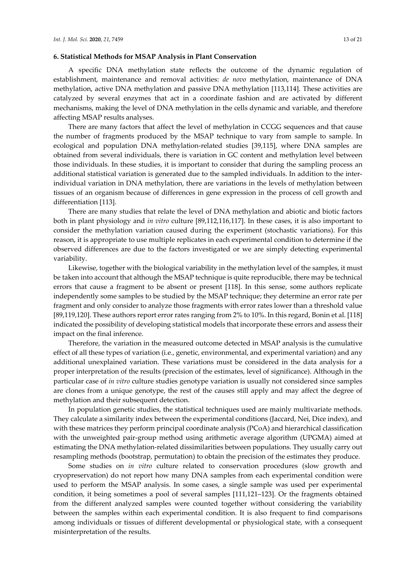#### **6. Statistical Methods for MSAP Analysis in Plant Conservation**

A specific DNA methylation state reflects the outcome of the dynamic regulation of establishment, maintenance and removal activities: *de novo* methylation, maintenance of DNA methylation, active DNA methylation and passive DNA methylation [113,114]. These activities are catalyzed by several enzymes that act in a coordinate fashion and are activated by different mechanisms, making the level of DNA methylation in the cells dynamic and variable, and therefore affecting MSAP results analyses.

There are many factors that affect the level of methylation in CCGG sequences and that cause the number of fragments produced by the MSAP technique to vary from sample to sample. In ecological and population DNA methylation-related studies [39,115], where DNA samples are obtained from several individuals, there is variation in GC content and methylation level between those individuals. In these studies, it is important to consider that during the sampling process an additional statistical variation is generated due to the sampled individuals. In addition to the interindividual variation in DNA methylation, there are variations in the levels of methylation between tissues of an organism because of differences in gene expression in the process of cell growth and differentiation [113].

There are many studies that relate the level of DNA methylation and abiotic and biotic factors both in plant physiology and *in vitro* culture [89,112,116,117]. In these cases, it is also important to consider the methylation variation caused during the experiment (stochastic variations). For this reason, it is appropriate to use multiple replicates in each experimental condition to determine if the observed differences are due to the factors investigated or we are simply detecting experimental variability.

Likewise, together with the biological variability in the methylation level of the samples, it must be taken into account that although the MSAP technique is quite reproducible, there may be technical errors that cause a fragment to be absent or present [118]. In this sense, some authors replicate independently some samples to be studied by the MSAP technique; they determine an error rate per fragment and only consider to analyze those fragments with error rates lower than a threshold value [89,119,120]. These authors report error rates ranging from 2% to 10%. In this regard, Bonin et al. [118] indicated the possibility of developing statistical models that incorporate these errors and assess their impact on the final inference.

Therefore, the variation in the measured outcome detected in MSAP analysis is the cumulative effect of all these types of variation (i.e., genetic, environmental, and experimental variation) and any additional unexplained variation. These variations must be considered in the data analysis for a proper interpretation of the results (precision of the estimates, level of significance). Although in the particular case of *in vitro* culture studies genotype variation is usually not considered since samples are clones from a unique genotype, the rest of the causes still apply and may affect the degree of methylation and their subsequent detection.

In population genetic studies, the statistical techniques used are mainly multivariate methods. They calculate a similarity index between the experimental conditions (Jaccard, Nei, Dice index), and with these matrices they perform principal coordinate analysis (PCoA) and hierarchical classification with the unweighted pair-group method using arithmetic average algorithm (UPGMA) aimed at estimating the DNA methylation-related dissimilarities between populations. They usually carry out resampling methods (bootstrap, permutation) to obtain the precision of the estimates they produce.

Some studies on *in vitro* culture related to conservation procedures (slow growth and cryopreservation) do not report how many DNA samples from each experimental condition were used to perform the MSAP analysis. In some cases, a single sample was used per experimental condition, it being sometimes a pool of several samples [111,121–123]. Or the fragments obtained from the different analyzed samples were counted together without considering the variability between the samples within each experimental condition. It is also frequent to find comparisons among individuals or tissues of different developmental or physiological state, with a consequent misinterpretation of the results.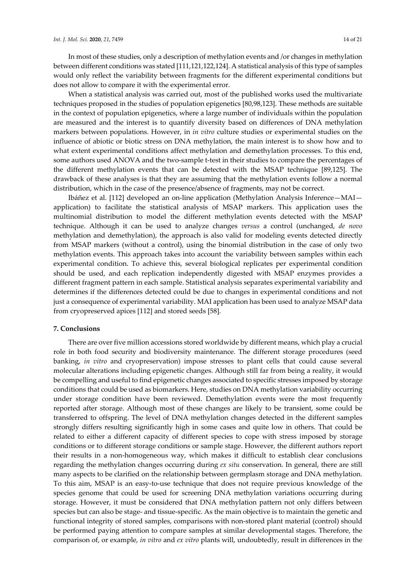In most of these studies, only a description of methylation events and /or changes in methylation between different conditions was stated [111,121,122,124]. A statistical analysis of this type of samples would only reflect the variability between fragments for the different experimental conditions but does not allow to compare it with the experimental error.

When a statistical analysis was carried out, most of the published works used the multivariate techniques proposed in the studies of population epigenetics [80,98,123]. These methods are suitable in the context of population epigenetics, where a large number of individuals within the population are measured and the interest is to quantify diversity based on differences of DNA methylation markers between populations. However, in *in vitro* culture studies or experimental studies on the influence of abiotic or biotic stress on DNA methylation, the main interest is to show how and to what extent experimental conditions affect methylation and demethylation processes. To this end, some authors used ANOVA and the two-sample t-test in their studies to compare the percentages of the different methylation events that can be detected with the MSAP technique [89,125]. The drawback of these analyses is that they are assuming that the methylation events follow a normal distribution, which in the case of the presence/absence of fragments, may not be correct.

Ibáñez et al. [112] developed an on-line application (Methylation Analysis Inference—MAI application) to facilitate the statistical analysis of MSAP markers. This application uses the multinomial distribution to model the different methylation events detected with the MSAP technique. Although it can be used to analyze changes *versus* a control (unchanged, *de novo*  methylation and demethylation), the approach is also valid for modeling events detected directly from MSAP markers (without a control), using the binomial distribution in the case of only two methylation events. This approach takes into account the variability between samples within each experimental condition. To achieve this, several biological replicates per experimental condition should be used, and each replication independently digested with MSAP enzymes provides a different fragment pattern in each sample. Statistical analysis separates experimental variability and determines if the differences detected could be due to changes in experimental conditions and not just a consequence of experimental variability. MAI application has been used to analyze MSAP data from cryopreserved apices [112] and stored seeds [58].

#### **7. Conclusions**

There are over five million accessions stored worldwide by different means, which play a crucial role in both food security and biodiversity maintenance. The different storage procedures (seed banking, *in vitro* and cryopreservation) impose stresses to plant cells that could cause several molecular alterations including epigenetic changes. Although still far from being a reality, it would be compelling and useful to find epigenetic changes associated to specific stresses imposed by storage conditions that could be used as biomarkers. Here, studies on DNA methylation variability occurring under storage condition have been reviewed. Demethylation events were the most frequently reported after storage. Although most of these changes are likely to be transient, some could be transferred to offspring. The level of DNA methylation changes detected in the different samples strongly differs resulting significantly high in some cases and quite low in others. That could be related to either a different capacity of different species to cope with stress imposed by storage conditions or to different storage conditions or sample stage. However, the different authors report their results in a non-homogeneous way, which makes it difficult to establish clear conclusions regarding the methylation changes occurring during *ex situ* conservation. In general, there are still many aspects to be clarified on the relationship between germplasm storage and DNA methylation. To this aim, MSAP is an easy-to-use technique that does not require previous knowledge of the species genome that could be used for screening DNA methylation variations occurring during storage. However, it must be considered that DNA methylation pattern not only differs between species but can also be stage- and tissue-specific. As the main objective is to maintain the genetic and functional integrity of stored samples, comparisons with non-stored plant material (control) should be performed paying attention to compare samples at similar developmental stages. Therefore, the comparison of, or example, *in vitro* and *ex vitro* plants will, undoubtedly, result in differences in the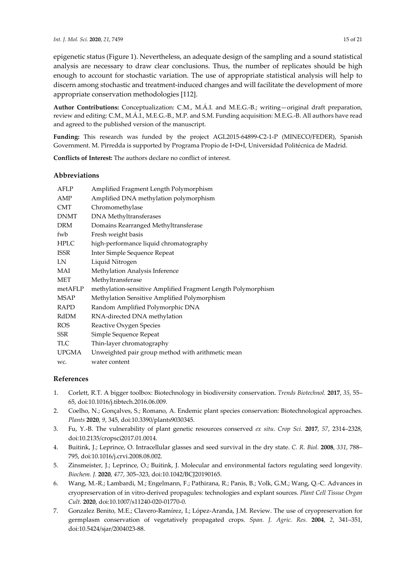epigenetic status (Figure 1). Nevertheless, an adequate design of the sampling and a sound statistical analysis are necessary to draw clear conclusions. Thus, the number of replicates should be high enough to account for stochastic variation. The use of appropriate statistical analysis will help to discern among stochastic and treatment-induced changes and will facilitate the development of more appropriate conservation methodologies [112].

**Author Contributions:** Conceptualization: C.M., M.Á.I. and M.E.G.-B.; writing—original draft preparation, review and editing: C.M., M.Á.I., M.E.G.-B., M.P. and S.M. Funding acquisition: M.E.G.-B. All authors have read and agreed to the published version of the manuscript.

**Funding:** This research was funded by the project AGL2015-64899-C2-1-P (MINECO/FEDER), Spanish Government. M. Pirredda is supported by Programa Propio de I+D+I, Universidad Politécnica de Madrid.

**Conflicts of Interest:** The authors declare no conflict of interest.

### **Abbreviations**

| AFLP        | Amplified Fragment Length Polymorphism                       |  |  |
|-------------|--------------------------------------------------------------|--|--|
| AMP         | Amplified DNA methylation polymorphism                       |  |  |
| <b>CMT</b>  | Chromomethylase                                              |  |  |
| <b>DNMT</b> | DNA Methyltransferases                                       |  |  |
| <b>DRM</b>  | Domains Rearranged Methyltransferase                         |  |  |
| fwb         | Fresh weight basis                                           |  |  |
| <b>HPLC</b> | high-performance liquid chromatography                       |  |  |
| <b>ISSR</b> | Inter Simple Sequence Repeat                                 |  |  |
| LN          | Liquid Nitrogen                                              |  |  |
| MAI         | Methylation Analysis Inference                               |  |  |
| MET         | Methyltransferase                                            |  |  |
| metAFLP     | methylation-sensitive Amplified Fragment Length Polymorphism |  |  |
| <b>MSAP</b> | Methylation Sensitive Amplified Polymorphism                 |  |  |
| RAPD        | Random Amplified Polymorphic DNA                             |  |  |
| RdDM        | RNA-directed DNA methylation                                 |  |  |
| <b>ROS</b>  | Reactive Oxygen Species                                      |  |  |
| <b>SSR</b>  | Simple Sequence Repeat                                       |  |  |
| <b>TLC</b>  | Thin-layer chromatography                                    |  |  |
| UPGMA       | Unweighted pair group method with arithmetic mean            |  |  |
| WC.         | water content                                                |  |  |
|             |                                                              |  |  |

## **References**

- 1. Corlett, R.T. A bigger toolbox: Biotechnology in biodiversity conservation. *Trends Biotechnol.* **2017**, *35*, 55– 65, doi:10.1016/j.tibtech.2016.06.009.
- 2. Coelho, N.; Gonçalves, S.; Romano, A. Endemic plant species conservation: Biotechnological approaches. *Plants* **2020**, *9*, 345, doi:10.3390/plants9030345.
- 3. Fu, Y.-B. The vulnerability of plant genetic resources conserved *ex situ*. *Crop Sci.* **2017**, *57*, 2314–2328, doi:10.2135/cropsci2017.01.0014.
- 4. Buitink, J.; Leprince, O. Intracellular glasses and seed survival in the dry state. *C. R. Biol.* **2008**, *331*, 788– 795, doi:10.1016/j.crvi.2008.08.002.
- 5. Zinsmeister, J.; Leprince, O.; Buitink, J. Molecular and environmental factors regulating seed longevity. *Biochem. J.* **2020**, *477*, 305–323, doi:10.1042/BCJ20190165.
- 6. Wang, M.-R.; Lambardi, M.; Engelmann, F.; Pathirana, R.; Panis, B.; Volk, G.M.; Wang, Q.-C. Advances in cryopreservation of in vitro-derived propagules: technologies and explant sources. *Plant Cell Tissue Organ Cult.* **2020**, doi:10.1007/s11240-020-01770-0.
- 7. Gonzalez Benito, M.E.; Clavero-Ramírez, I.; López-Aranda, J.M. Review. The use of cryopreservation for germplasm conservation of vegetatively propagated crops. *Span. J. Agric. Res.* **2004**, *2*, 341–351, doi:10.5424/sjar/2004023-88.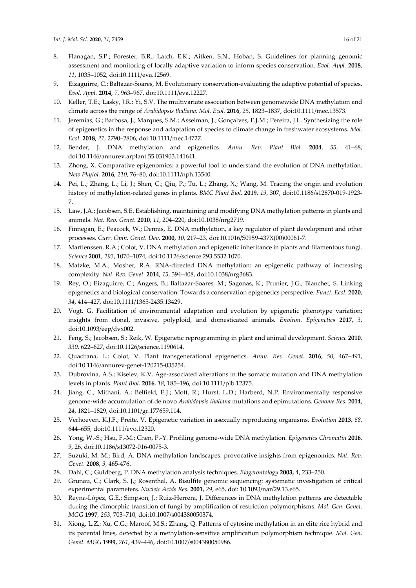- 8. Flanagan, S.P.; Forester, B.R.; Latch, E.K.; Aitken, S.N.; Hoban, S. Guidelines for planning genomic assessment and monitoring of locally adaptive variation to inform species conservation. *Evol. Appl.* **2018**, *11*, 1035–1052, doi:10.1111/eva.12569.
- 9. Eizaguirre, C.; Baltazar-Soares, M. Evolutionary conservation-evaluating the adaptive potential of species. *Evol. Appl.* **2014**, *7*, 963–967, doi:10.1111/eva.12227.
- 10. Keller, T.E.; Lasky, J.R.; Yi, S.V. The multivariate association between genomewide DNA methylation and climate across the range of *Arabidopsis thaliana*. *Mol. Ecol.* **2016**, *25*, 1823–1837, doi:10.1111/mec.13573.
- 11. Jeremias, G.; Barbosa, J.; Marques, S.M.; Asselman, J.; Gonçalves, F.J.M.; Pereira, J.L. Synthesizing the role of epigenetics in the response and adaptation of species to climate change in freshwater ecosystems. *Mol. Ecol.* **2018**, *27*, 2790–2806, doi:10.1111/mec.14727.
- 12. Bender, J. DNA methylation and epigenetics. *Annu. Rev. Plant Biol.* **2004**, *55*, 41–68, doi:10.1146/annurev.arplant.55.031903.141641.
- 13. Zhong, X. Comparative epigenomics: a powerful tool to understand the evolution of DNA methylation. *New Phytol.* **2016**, *210*, 76–80, doi:10.1111/nph.13540.
- 14. Pei, L.; Zhang, L.; Li, J.; Shen, C.; Qiu, P.; Tu, L.; Zhang, X.; Wang, M. Tracing the origin and evolution history of methylation-related genes in plants. *BMC Plant Biol.* **2019**, *19*, 307, doi:10.1186/s12870-019-1923- 7.
- 15. Law, J.A.; Jacobsen, S.E. Establishing, maintaining and modifying DNA methylation patterns in plants and animals. *Nat. Rev. Genet.* **2010**, *11*, 204–220, doi:10.1038/nrg2719.
- 16. Finnegan, E.; Peacock, W.; Dennis, E. DNA methylation, a key regulator of plant development and other processes. *Curr. Opin. Genet. Dev.* **2000**, *10*, 217–23, doi:10.1016/S0959-437X(00)00061-7.
- 17. Martienssen, R.A.; Colot, V. DNA methylation and epigenetic inheritance in plants and filamentous fungi. *Science* **2001**, *293*, 1070–1074, doi:10.1126/science.293.5532.1070.
- 18. Matzke, M.A.; Mosher, R.A. RNA-directed DNA methylation: an epigenetic pathway of increasing complexity. *Nat. Rev. Genet.* **2014**, *15*, 394–408, doi:10.1038/nrg3683.
- 19. Rey, O.; Eizaguirre, C.; Angers, B.; Baltazar-Soares, M.; Sagonas, K.; Prunier, J.G.; Blanchet, S. Linking epigenetics and biological conservation: Towards a conservation epigenetics perspective. *Funct. Ecol.* **2020**, *34*, 414–427, doi:10.1111/1365-2435.13429.
- 20. Vogt, G. Facilitation of environmental adaptation and evolution by epigenetic phenotype variation: insights from clonal, invasive, polyploid, and domesticated animals. *Environ. Epigenetics* **2017**, *3*, doi:10.1093/eep/dvx002.
- 21. Feng, S.; Jacobsen, S.; Reik, W. Epigenetic reprogramming in plant and animal development. *Science* **2010**, *330*, 622–627, doi:10.1126/science.1190614.
- 22. Quadrana, L.; Colot, V. Plant transgenerational epigenetics. *Annu. Rev. Genet.* **2016**, *50*, 467–491, doi:10.1146/annurev-genet-120215-035254.
- 23. Dubrovina, A.S.; Kiselev, K.V. Age-associated alterations in the somatic mutation and DNA methylation levels in plants. *Plant Biol.* **2016**, *18*, 185–196, doi:10.1111/plb.12375.
- 24. Jiang, C.; Mithani, A.; Belfield, E.J.; Mott, R.; Hurst, L.D.; Harberd, N.P. Environmentally responsive genome-wide accumulation of de novo *Arabidopsis thaliana* mutations and epimutations. *Genome Res.* **2014**, *24*, 1821–1829, doi:10.1101/gr.177659.114.
- 25. Verhoeven, K.J.F.; Preite, V. Epigenetic variation in asexually reproducing organisms. *Evolution* **2013**, *68*, 644–655, doi:10.1111/evo.12320.
- 26. Yong, W.-S.; Hsu, F.-M.; Chen, P.-Y. Profiling genome-wide DNA methylation. *Epigenetics Chromatin* **2016**, *9*, 26, doi:10.1186/s13072-016-0075-3.
- 27. Suzuki, M. M.; Bird, A. DNA methylation landscapes: provocative insights from epigenomics. *Nat. Rev. Genet.* **2008**, *9*, 465-476.
- 28. Dahl, C.; Guldberg, P. DNA methylation analysis techniques. *Biogerontology* **2003,** 4, 233–250.
- 29. Grunau, C.; Clark, S. J.; Rosenthal, A. Bisulfite genomic sequencing: systematic investigation of critical experimental parameters. *Nucleic Acids Res*. **2001**, *29*, e65, doi: 10.1093/nar/29.13.e65.
- 30. Reyna-López, G.E.; Simpson, J.; Ruiz-Herrera, J. Differences in DNA methylation patterns are detectable during the dimorphic transition of fungi by amplification of restriction polymorphisms. *Mol. Gen. Genet. MGG* **1997**, *253*, 703–710, doi:10.1007/s004380050374.
- 31. Xiong, L.Z.; Xu, C.G.; Maroof, M.S.; Zhang, Q. Patterns of cytosine methylation in an elite rice hybrid and its parental lines, detected by a methylation-sensitive amplification polymorphism technique. *Mol. Gen. Genet. MGG* **1999**, *261*, 439–446, doi:10.1007/s004380050986.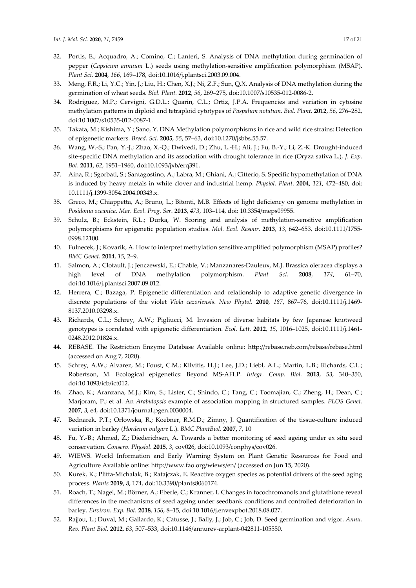- 32. Portis, E.; Acquadro, A.; Comino, C.; Lanteri, S. Analysis of DNA methylation during germination of pepper (*Capsicum annuum* L.) seeds using methylation-sensitive amplification polymorphism (MSAP). *Plant Sci.* **2004**, *166*, 169–178, doi:10.1016/j.plantsci.2003.09.004.
- 33. Meng, F.R.; Li, Y.C.; Yin, J.; Liu, H.; Chen, X.J.; Ni, Z.F.; Sun, Q.X. Analysis of DNA methylation during the germination of wheat seeds. *Biol. Plant.* **2012**, *56*, 269–275, doi:10.1007/s10535-012-0086-2.
- 34. Rodriguez, M.P.; Cervigni, G.D.L.; Quarin, C.L.; Ortiz, J.P.A. Frequencies and variation in cytosine methylation patterns in diploid and tetraploid cytotypes of *Paspalum notatum*. *Biol. Plant.* **2012**, *56*, 276–282, doi:10.1007/s10535-012-0087-1.
- 35. Takata, M.; Kishima, Y.; Sano, Y. DNA Methylation polymorphisms in rice and wild rice strains: Detection of epigenetic markers. *Breed. Sci.* **2005**, *55*, 57–63, doi:10.1270/jsbbs.55.57.
- 36. Wang, W.-S.; Pan, Y.-J.; Zhao, X.-Q.; Dwivedi, D.; Zhu, L.-H.; Ali, J.; Fu, B.-Y.; Li, Z.-K. Drought-induced site-specific DNA methylation and its association with drought tolerance in rice (Oryza sativa L.), *J. Exp*. *Bot*. **2011**, *62*, 1951–1960, doi:10.1093/jxb/erq391.
- 37. Aina, R.; Sgorbati, S.; Santagostino, A.; Labra, M.; Ghiani, A.; Citterio, S. Specific hypomethylation of DNA is induced by heavy metals in white clover and industrial hemp. *Physiol. Plant*. **2004**, *121*, 472–480, doi: 10.1111/j.1399-3054.2004.00343.x.
- 38. Greco, M.; Chiappetta, A.; Bruno, L.; Bitonti, M.B. Effects of light deficiency on genome methylation in *Posidonia oceanica*. *Mar. Ecol. Prog. Ser*. **2013**, *473*, 103–114, doi: 10.3354/meps09955.
- 39. Schulz, B.; Eckstein, R.L.; Durka, W. Scoring and analysis of methylation-sensitive amplification polymorphisms for epigenetic population studies. *Mol. Ecol. Resour.* **2013**, *13*, 642–653, doi:10.1111/1755- 0998.12100.
- 40. Fulnecek, J.; Kovarik, A. How to interpret methylation sensitive amplified polymorphism (MSAP) profiles? *BMC Genet.* **2014**, *15*, 2–9.
- 41. Salmon, A.; Clotault, J.; Jenczewski, E.; Chable, V.; Manzanares-Dauleux, M.J. Brassica oleracea displays a high level of DNA methylation polymorphism. *Plant Sci.* **2008**, *174*, 61–70, doi:10.1016/j.plantsci.2007.09.012.
- 42. Herrera, C.; Bazaga, P. Epigenetic differentiation and relationship to adaptive genetic divergence in discrete populations of the violet *Viola cazorlensis*. *New Phytol.* **2010**, *187*, 867–76, doi:10.1111/j.1469- 8137.2010.03298.x.
- 43. Richards, C.L.; Schrey, A.W.; Pigliucci, M. Invasion of diverse habitats by few Japanese knotweed genotypes is correlated with epigenetic differentiation. *Ecol. Lett.* **2012**, *15*, 1016–1025, doi:10.1111/j.1461- 0248.2012.01824.x.
- 44. REBASE. The Restriction Enzyme Database Available online: http://rebase.neb.com/rebase/rebase.html (accessed on Aug 7, 2020).
- 45. Schrey, A.W.; Alvarez, M.; Foust, C.M.; Kilvitis, H.J.; Lee, J.D.; Liebl, A.L.; Martin, L.B.; Richards, C.L.; Robertson, M. Ecological epigenetics: Beyond MS-AFLP. *Integr. Comp. Biol.* **2013**, *53*, 340–350, doi:10.1093/icb/ict012.
- 46. Zhao, K.; Aranzana, M.J.; Kim, S.; Lister, C.; Shindo, C.; Tang, C.; Toomajian, C.; Zheng, H.; Dean, C.; Marjoram, P.; et al. An *Arabidopsis* example of association mapping in structured samples. *PLOS Genet.*  **2007**, *3*, e4, doi:10.1371/journal.pgen.0030004.
- 47. Bednarek, P.T.; Orłowska, R.; Koebner, R.M.D.; Zimny, J. Quantification of the tissue-culture induced variation in barley (*Hordeum vulgare* L.). *BMC PlantBiol*. **2007,** *7*, 10
- 48. Fu, Y.-B.; Ahmed, Z.; Diederichsen, A. Towards a better monitoring of seed ageing under ex situ seed conservation. *Conserv. Physiol.* **2015**, *3*, cov026, doi:10.1093/conphys/cov026.
- 49. WIEWS. World Information and Early Warning System on Plant Genetic Resources for Food and Agriculture Available online: http://www.fao.org/wiews/en/ (accessed on Jun 15, 2020).
- 50. Kurek, K.; Plitta-Michalak, B.; Ratajczak, E. Reactive oxygen species as potential drivers of the seed aging process. *Plants* **2019**, *8*, 174, doi:10.3390/plants8060174.
- 51. Roach, T.; Nagel, M.; Börner, A.; Eberle, C.; Kranner, I. Changes in tocochromanols and glutathione reveal differences in the mechanisms of seed ageing under seedbank conditions and controlled deterioration in barley. *Environ. Exp. Bot.* **2018**, *156*, 8–15, doi:10.1016/j.envexpbot.2018.08.027.
- 52. Rajjou, L.; Duval, M.; Gallardo, K.; Catusse, J.; Bally, J.; Job, C.; Job, D. Seed germination and vigor. *Annu. Rev. Plant Biol.* **2012**, *63*, 507–533, doi:10.1146/annurev-arplant-042811-105550.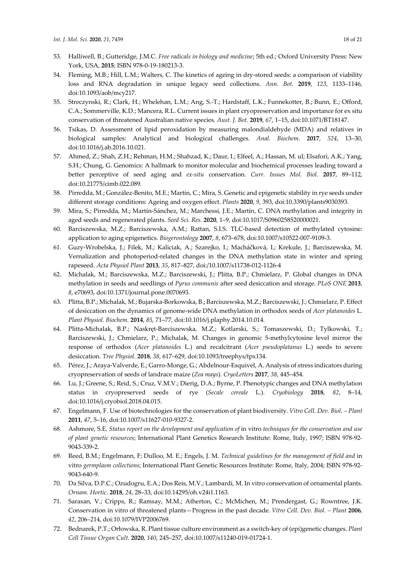- 53. Halliwell, B.; Gutteridge, J.M.C. *Free radicals in biology and medicine*; 5th ed.; Oxford University Press: New York, USA, **2015**; ISBN 978-0-19-180213-3.
- 54. Fleming, M.B.; Hill, L.M.; Walters, C. The kinetics of ageing in dry-stored seeds: a comparison of viability loss and RNA degradation in unique legacy seed collections. *Ann. Bot.* **2019**, *123*, 1133–1146, doi:10.1093/aob/mcy217.
- 55. Streczynski, R.; Clark, H.; Whelehan, L.M.; Ang, S.-T.; Hardstaff, L.K.; Funnekotter, B.; Bunn, E.; Offord, C.A.; Sommerville, K.D.; Mancera, R.L. Current issues in plant cryopreservation and importance for ex situ conservation of threatened Australian native species. *Aust. J. Bot.* **2019**, *67*, 1–15, doi:10.1071/BT18147.
- 56. Tsikas, D. Assessment of lipid peroxidation by measuring malondialdehyde (MDA) and relatives in biological samples: Analytical and biological challenges. *Anal. Biochem.* **2017**, *524*, 13–30, doi:10.1016/j.ab.2016.10.021.
- 57. Ahmed, Z.; Shah, Z.H.; Rehman, H.M.; Shahzad, K.; Daur, I.; Elfeel, A.; Hassan, M. ul; Elsafori, A.K.; Yang, S.H.; Chung, G. Genomics: A hallmark to monitor molecular and biochemical processes leading toward a better perceptive of seed aging and *ex-situ* conservation. *Curr. Issues Mol. Biol.* **2017**, 89–112, doi:10.21775/cimb.022.089.
- 58. Pirredda, M.; González-Benito, M.E.; Martín, C.; Mira, S. Genetic and epigenetic stability in rye seeds under different storage conditions: Ageing and oxygen effect. *Plants* **2020**, *9*, 393, doi:10.3390/plants9030393.
- 59. Mira, S.; Pirredda, M.; Martín-Sánchez, M.; Marchessi, J.E.; Martín, C. DNA methylation and integrity in aged seeds and regenerated plants. *Seed Sci. Res.* **2020**, 1–9, doi:10.1017/S0960258520000021.
- 60. Barciszewska, M.Z.; Barciszewska, A.M.; Rattan, S.I.S. TLC-based detection of methylated cytosine: application to aging epigenetics. *Biogerontology* **2007**, *8*, 673–678, doi:10.1007/s10522-007-9109-3.
- 61. Guzy-Wrobelska, J.; Filek, M.; Kaliciak, A.; Szarejko, I.; Macháčková, I.; Krekule, J.; Barciszewska, M. Vernalization and photoperiod-related changes in the DNA methylation state in winter and spring rapeseed. *Acta Physiol Plant* **2013**, *35*, 817–827, doi:/10.1007/s11738-012-1126-4
- 62. Michalak, M.; Barciszewska, M.Z.; Barciszewski, J.; Plitta, B.P.; Chmielarz, P. Global changes in DNA methylation in seeds and seedlings of *Pyrus communis* after seed desiccation and storage. *PLoS ONE* **2013**, *8*, e70693, doi:10.1371/journal.pone.0070693.
- 63. Plitta, B.P.; Michalak, M.; Bujarska-Borkowska, B.; Barciszewska, M.Z.; Barciszewski, J.; Chmielarz, P. Effect of desiccation on the dynamics of genome-wide DNA methylation in orthodox seeds of *Acer platanoides* L. *Plant Physiol. Biochem.* **2014**, *85*, 71–77, doi:10.1016/j.plaphy.2014.10.014.
- 64. Plitta-Michalak, B.P.; Naskręt-Barciszewska, M.Z.; Kotlarski, S.; Tomaszewski, D.; Tylkowski, T.; Barciszewski, J.; Chmielarz, P.; Michalak, M. Changes in genomic 5-methylcytosine level mirror the response of orthodox (*Acer platanoides* L.) and recalcitrant (*Acer pseudoplatanus* L.) seeds to severe desiccation. *Tree Physiol.* **2018**, *38*, 617–629, doi:10.1093/treephys/tpx134.
- 65. Pérez, J.; Araya-Valverde, E.; Garro-Monge, G.; Abdelnour-Esquivel, A. Analysis of stress indicators during cryopreservation of seeds of landrace maize (*Zea mays*). *CryoLetters* **2017**, *38*, 445–454.
- 66. Lu, J.; Greene, S.; Reid, S.; Cruz, V.M.V.; Dierig, D.A.; Byrne, P. Phenotypic changes and DNA methylation status in cryopreserved seeds of rye (*Secale cereale* L.). *Cryobiology* **2018**, *82*, 8–14, doi:10.1016/j.cryobiol.2018.04.015.
- 67. Engelmann, F. Use of biotechnologies for the conservation of plant biodiversity. *Vitro Cell. Dev. Biol. Plant*  **2011**, *47*, 5–16, doi:10.1007/s11627-010-9327-2.
- 68. Ashmore, S.E. *Status report on the development and application of* in vitro *techniques for the conservation and use of plant genetic resources*; International Plant Genetics Research Institute: Rome, Italy, 1997; ISBN 978-92- 9043-339-2.
- 69. Reed, B.M.; Engelmann, F; Dulloo, M. E.; Engels, J. M. *Technical guidelines for the management of field and* in vitro *germplasm collections*; International Plant Genetic Resources Institute: Rome, Italy, 2004; ISBN 978-92- 9043-640-9.
- 70. Da Silva, D.P.C.; Ozudogru, E.A.; Dos Reis, M.V.; Lambardi, M. In vitro conservation of ornamental plants. *Ornam. Hortic.* **2018**, *24*, 28–33, doi:10.14295/oh.v24i1.1163.
- 71. Sarasan, V.; Cripps, R.; Ramsay, M.M.; Atherton, C.; McMichen, M.; Prendergast, G.; Rowntree, J.K. Conservation in vitro of threatened plants—Progress in the past decade. *Vitro Cell. Dev. Biol. – Plant* **2006**, *42*, 206–214, doi:10.1079/IVP2006769.
- 72. Bednarek, P.T.; Orłowska, R. Plant tissue culture environment as a switch-key of (epi)genetic changes. *Plant Cell Tissue Organ Cult.* **2020**, *140*, 245–257, doi:10.1007/s11240-019-01724-1.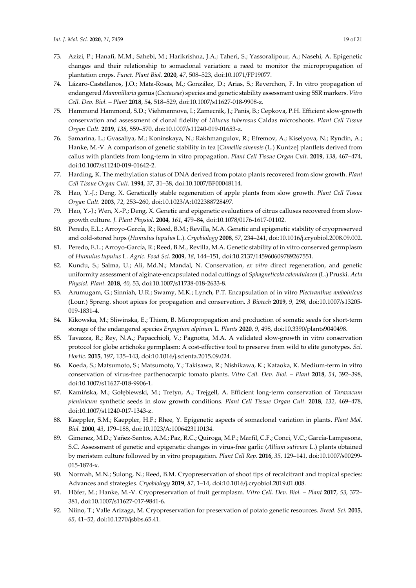- 73. Azizi, P.; Hanafi, M.M.; Sahebi, M.; Harikrishna, J.A.; Taheri, S.; Yassoralipour, A.; Nasehi, A. Epigenetic changes and their relationship to somaclonal variation: a need to monitor the micropropagation of plantation crops. *Funct. Plant Biol.* **2020**, *47*, 508–523, doi:10.1071/FP19077.
- 74. Lázaro-Castellanos, J.O.; Mata-Rosas, M.; González, D.; Arias, S.; Reverchon, F. In vitro propagation of endangered *Mammillaria* genus (*Cactaceae*) species and genetic stability assessment using SSR markers. *Vitro Cell. Dev. Biol. – Plant* **2018**, *54*, 518–529, doi:10.1007/s11627-018-9908-z.
- 75. Hammond Hammond, S.D.; Viehmannova, I.; Zamecnik, J.; Panis, B.; Cepkova, P.H. Efficient slow-growth conservation and assessment of clonal fidelity of *Ullucus tuberosus* Caldas microshoots. *Plant Cell Tissue Organ Cult.* **2019**, *138*, 559–570, doi:10.1007/s11240-019-01653-z.
- 76. Samarina, L.; Gvasaliya, M.; Koninskaya, N.; Rakhmangulov, R.; Efremov, A.; Kiselyova, N.; Ryndin, A.; Hanke, M.-V. A comparison of genetic stability in tea [*Camellia sinensis* (L.) Kuntze] plantlets derived from callus with plantlets from long-term in vitro propagation. *Plant Cell Tissue Organ Cult.* **2019**, *138*, 467–474, doi:10.1007/s11240-019-01642-2.
- 77. Harding, K. The methylation status of DNA derived from potato plants recovered from slow growth. *Plant Cell Tissue Organ Cult.* **1994**, *37*, 31–38, doi:10.1007/BF00048114.
- 78. Hao, Y.-J.; Deng, X. Genetically stable regeneration of apple plants from slow growth. *Plant Cell Tissue Organ Cult.* **2003**, *72*, 253–260, doi:10.1023/A:1022388728497.
- 79. Hao, Y.-J.; Wen, X.-P.; Deng, X. Genetic and epigenetic evaluations of citrus calluses recovered from slowgrowth culture. *J. Plant Physiol.* **2004**, *161*, 479–84, doi:10.1078/0176-1617-01102.
- 80. Peredo, E.L.; Arroyo-García, R.; Reed, B.M.; Revilla, M.A. Genetic and epigenetic stability of cryopreserved and cold-stored hops (*Humulus lupulus* L.). *Cryobiology* **2008**, *57*, 234–241, doi:10.1016/j.cryobiol.2008.09.002.
- 81. Peredo, E.L.; Arroyo-García, R.; Reed, B.M., Revilla, M.A. Genetic stability of in vitro conserved germplasm of *Humulus lupulus* L. *Agric. Food Sci.* **2009**, *18*, 144–151, doi:10.2137/145960609789267551.
- 82. Kundu, S.; Salma, U.; Ali, Md.N.; Mandal, N. Conservation, *ex vitro* direct regeneration, and genetic uniformity assessment of alginate-encapsulated nodal cuttings of *Sphagneticola calendulacea* (L.) Pruski. *Acta Physiol. Plant.* **2018**, *40*, 53, doi:10.1007/s11738-018-2633-8.
- 83. Arumugam, G.; Sinniah, U.R.; Swamy, M.K.; Lynch, P.T. Encapsulation of in vitro *Plectranthus amboinicus* (Lour.) Spreng. shoot apices for propagation and conservation. *3 Biotech* **2019**, *9*, 298, doi:10.1007/s13205- 019-1831-4.
- 84. Kikowska, M.; Sliwinska, E.; Thiem, B. Micropropagation and production of somatic seeds for short-term storage of the endangered species *Eryngium alpinum* L. *Plants* **2020**, *9*, 498, doi:10.3390/plants9040498.
- 85. Tavazza, R.; Rey, N.A.; Papacchioli, V.; Pagnotta, M.A. A validated slow-growth in vitro conservation protocol for globe artichoke germplasm: A cost-effective tool to preserve from wild to elite genotypes. *Sci. Hortic.* **2015**, *197*, 135–143, doi:10.1016/j.scienta.2015.09.024.
- 86. Koeda, S.; Matsumoto, S.; Matsumoto, Y.; Takisawa, R.; Nishikawa, K.; Kataoka, K. Medium-term in vitro conservation of virus-free parthenocarpic tomato plants. *Vitro Cell. Dev. Biol. – Plant* **2018**, *54*, 392–398, doi:10.1007/s11627-018-9906-1.
- 87. Kamińska, M.; Gołębiewski, M.; Tretyn, A.; Trejgell, A. Efficient long-term conservation of *Taraxacum pieninicum* synthetic seeds in slow growth conditions. *Plant Cell Tissue Organ Cult.* **2018**, *132*, 469–478, doi:10.1007/s11240-017-1343-z.
- 88. Kaeppler, S.M.; Kaeppler, H.F.; Rhee, Y. Epigenetic aspects of somaclonal variation in plants. *Plant Mol. Biol.* **2000**, *43*, 179–188, doi:10.1023/A:1006423110134.
- 89. Gimenez, M.D.; Yañez-Santos, A.M.; Paz, R.C.; Quiroga, M.P.; Marfil, C.F.; Conci, V.C.; García-Lampasona, S.C. Assessment of genetic and epigenetic changes in virus-free garlic (*Allium sativum* L.) plants obtained by meristem culture followed by in vitro propagation. *Plant Cell Rep.* **2016**, *35*, 129–141, doi:10.1007/s00299- 015-1874-x.
- 90. Normah, M.N.; Sulong, N.; Reed, B.M. Cryopreservation of shoot tips of recalcitrant and tropical species: Advances and strategies. *Cryobiology* **2019**, *87*, 1–14, doi:10.1016/j.cryobiol.2019.01.008.
- 91. Höfer, M.; Hanke, M.-V. Cryopreservation of fruit germplasm. *Vitro Cell. Dev. Biol. Plant* **2017**, *53*, 372– 381, doi:10.1007/s11627-017-9841-6.
- 92. Niino, T.; Valle Arizaga, M. Cryopreservation for preservation of potato genetic resources. *Breed. Sci.* **2015**, *65*, 41–52, doi:10.1270/jsbbs.65.41.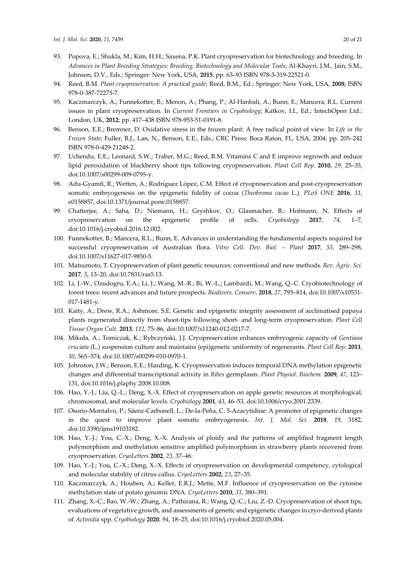- 93. Popova, E.; Shukla, M.; Kim, H.H.; Saxena, P.K. Plant cryopreservation for biotechnology and breeding. In *Advances in Plant Breeding Strategies: Breeding, Biotechnology and Molecular Tools*; Al-Khayri, J.M., Jain, S.M., Johnson, D.V., Eds.; Springer: New York, USA, **2015**; pp. 63–93 ISBN 978-3-319-22521-0.
- 94. Reed, B.M. *Plant cryopreservation: A practical guide*; Reed, B.M., Ed.; Springer: New York, USA, **2008**; ISBN 978-0-387-72275-7.
- 95. Kaczmarczyk, A.; Funnekotter, B.; Menon, A.; Phang, P.; Al-Hanbali, A.; Bunn, E.; Mancera, R.L. Current issues in plant cryopreservation. In *Current Frontiers in Cryobiology*; Katkov, I.I., Ed.; IntechOpen Ltd.: London, UK, **2012**; pp. 417–438 ISBN 978-953-51-0191-8.
- 96. Benson, E.E.; Bremner, D. Oxidative stress in the frozen plant: A free radical point of view. In *Life in the Frozen State*; Fuller, B.J., Lan, N., Benson, E.E., Eds.; CRC Press: Boca Raton, FL, USA, 2004; pp. 205–242 ISBN 978-0-429-21248-2.
- 97. Uchendu, E.E.; Leonard, S.W.; Traber, M.G.; Reed, B.M. Vitamins C and E improve regrowth and reduce lipid peroxidation of blackberry shoot tips following cryopreservation. *Plant Cell Rep.* **2010**, *29*, 25–35, doi:10.1007/s00299-009-0795-y.
- 98. Adu-Gyamfi, R.; Wetten, A.; Rodríguez López, C.M. Effect of cryopreservation and post-cryopreservation somatic embryogenesis on the epigenetic fidelity of cocoa (*Theobroma cacao* L.). *PLoS ONE* **2016**, *11*, e0158857, doi:10.1371/journal.pone.0158857.
- 99. Chatterjee, A.; Saha, D.; Niemann, H.; Gryshkov, O.; Glasmacher, B.; Hofmann, N. Effects of cryopreservation on the epigenetic profile of cells. *Cryobiology* **2017**, *74*, 1–7, doi:10.1016/j.cryobiol.2016.12.002.
- 100. Funnekotter, B.; Mancera, R.L.; Bunn, E. Advances in understanding the fundamental aspects required for successful cryopreservation of Australian flora. *Vitro Cell. Dev. Biol. – Plant* **2017**, *53*, 289–298, doi:10.1007/s11627-017-9850-5.
- 101. Matsumoto, T. Cryopreservation of plant genetic resources: conventional and new methods. *Rev. Agric. Sci.*  **2017**, *5*, 13–20, doi:10.7831/ras5.13.
- 102. Li, J.-W.; Ozudogru, E.A.; Li, J.; Wang, M.-R.; Bi, W.-L.; Lambardi, M.; Wang, Q.-C. Cryobiotechnology of forest trees: recent advances and future prospects. *Biodivers. Conserv.* **2018**, *27*, 795–814, doi:10.1007/s10531- 017-1481-y.
- 103. Kaity, A.; Drew, R.A.; Ashmore, S.E. Genetic and epigenetic integrity assessment of acclimatised papaya plants regenerated directly from shoot-tips following short- and long-term cryopreservation. *Plant Cell Tissue Organ Cult.* **2013**, *112*, 75–86, doi:10.1007/s11240-012-0217-7.
- 104. Mikuła, A.; Tomiczak, K.; Rybczyński, J.J. Cryopreservation enhances embryogenic capacity of *Gentiana cruciata* (L.) suspension culture and maintains (epi)genetic uniformity of regenerants. *Plant Cell Rep.* **2011**, *30*, 565–574, doi:10.1007/s00299-010-0970-1.
- 105. Johnston, J.W.; Benson, E.E.; Harding, K. Cryopreservation induces temporal DNA methylation epigenetic changes and differential transcriptional activity in *Ribes* germplasm. *Plant Physiol. Biochem.* **2009**, *47*, 123– 131, doi:10.1016/j.plaphy.2008.10.008.
- 106. Hao, Y.-J.; Liu, Q.-L.; Deng, X.-X. Effect of cryopreservation on apple genetic resources at morphological, chromosomal, and molecular levels. *Cryobiology* **2001**, *43*, 46–53, doi:10.1006/cryo.2001.2339.
- 107. Osorio-Montalvo, P.; Sáenz-Carbonell, L.; De-la-Peña, C. 5-Azacytidine: A promoter of epigenetic changes in the quest to improve plant somatic embryogenesis. *Int. J. Mol. Sci.* **2018**, *19*, 3182, doi:10.3390/ijms19103182.
- 108. Hao, Y.-J.; You, C.-X.; Deng, X.-X. Analysis of ploidy and the patterns of amplified fragment length polymorphism and methylation sensitive amplified polymorphism in strawberry plants recovered from cryopreservation. *CryoLetters* **2002**, *23*, 37–46.
- 109. Hao, Y.-J.; You, C.-X.; Deng, X.-X. Effects of cryopreservation on developmental competency, cytological and molecular stability of citrus callus. *CryoLetters* **2002**, *23*, 27–35.
- 110. Kaczmarczyk, A.; Houben, A.; Keller, E.R.J.; Mette, M.F. Influence of cryopreservation on the cytosine methylation state of potato genomic DNA. *CryoLetters* **2010**, *31*, 380–391.
- 111. Zhang, X.-C.; Bao, W.-W.; Zhang, A.; Pathirana, R.; Wang, Q.-C.; Liu, Z.-D. Cryopreservation of shoot tips, evaluations of vegetative growth, and assessments of genetic and epigenetic changes in cryo-derived plants of *Actinidia* spp. *Cryobiology* **2020**, *94*, 18–25, doi:10.1016/j.cryobiol.2020.05.004.